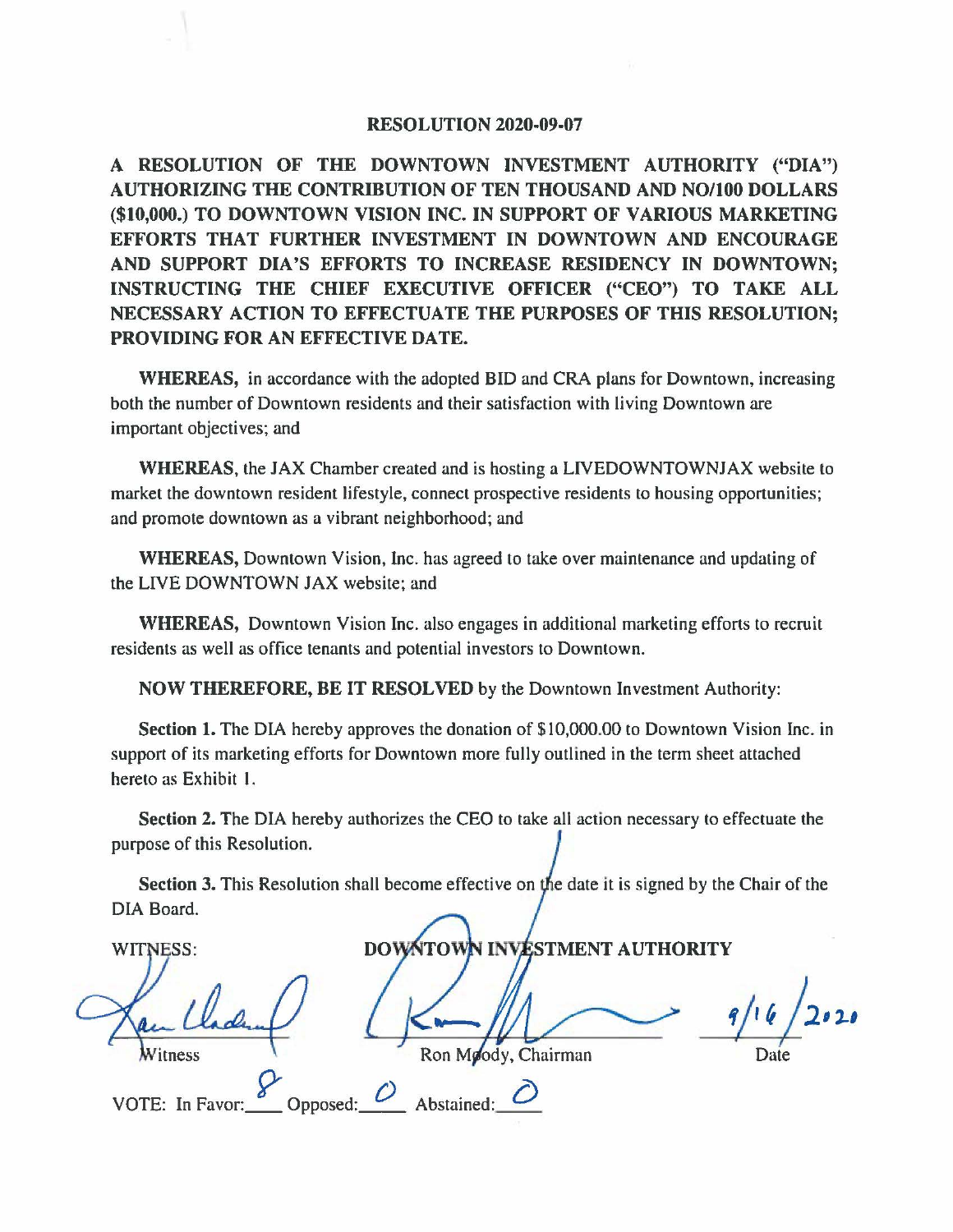## **RESOLUTION 2020-09-07**

**A RESOLUTION OF THE DOWNTOWN INVESTMENT AUTHORITY ("DIA") AUTHORIZING THE CONTRIBUTION OF TEN THOUSAND AND NO/100 DOLLARS**  (\$10,000.) TO DOWNTOWN VISION INC. IN SUPPORT OF VARIOUS MARKETING **EFFORTS THAT FURTHER INVESTMENT IN DOWNTOWN AND ENCOURAGE AND SUPPORT DIA'S EFFORTS TO INCREASE RESIDENCY IN DOWNTOWN; INSTRUCTING THE CHIEF EXECUTIVE OFFICER ("CEO") TO TAKE ALL NECESSARY ACTION TO EFFECTUATE THE PURPOSES OF THIS RESOLUTION; PROVIDING FOR AN EFFECTIVE DATE.** 

**WHEREAS,** in accordance with the adopted BID and CRA plans for Downtown, increasing both the number of Downtown residents and their satisfaction with living Downtown are important objectives; and

**WHEREAS,** the JAX Chamber created and is hosting a LIVEDOWNTOWNJAX website to market the downtown resident lifestyle, connect prospective residents to housing opportunities; and promote downtown as a vibrant neighborhood; and

**WHEREAS,** Downtown Vision, Inc. has agreed to take over maintenance and updating of the LIVE DOWNTOWN JAX website; and

**WHEREAS,** Downtown Vision Inc. also engages in additional marketing efforts to recruit residents as well as office tenants and potential investors to Downtown.

**NOW THEREFORE, BE IT RESOLVED** by the Downtown Investment Authority:

Section 1. The DIA hereby approves the donation of \$10,000.00 to Downtown Vision Inc. in support of its marketing efforts for Downtown more fully outlined in the term sheet attached hereto as Exhibit I.

Section 2. The DIA hereby authorizes the CEO to take all action necessary to effectuate the purpose of this Resolution.

**Section 3.** This Resolution shall become effective on the date it is signed by the Chair of the DIA Board.

**DOWNTOW STMENT AUTHORITY WITNESS:**  $-9/16/2020$  $W$ itness  $\overline{X}$  Ron M $\phi$ dy, Chairman Date VOTE: In Favor: <u>8</u> Opposed: <u>*C*</u> Abstained: <u>*C*</u>